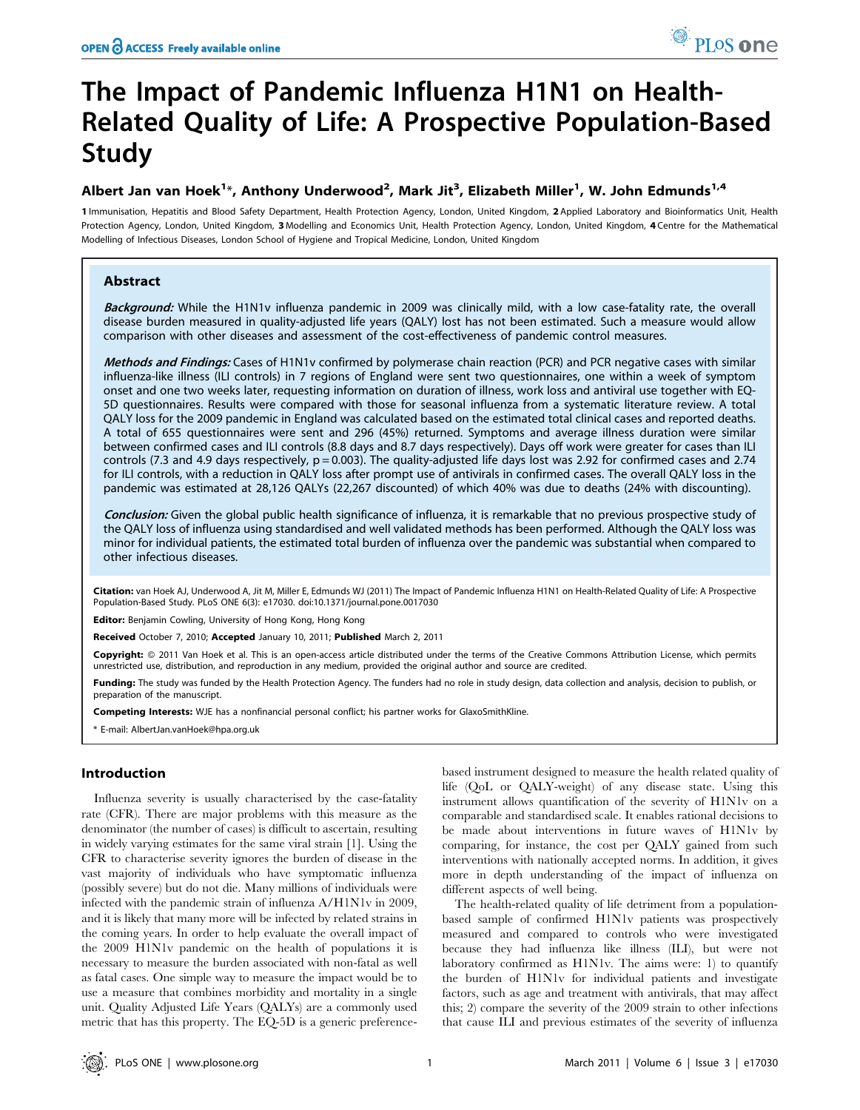# The Impact of Pandemic Influenza H1N1 on Health-Related Quality of Life: A Prospective Population-Based Study

## Albert Jan van Hoek<sup>1</sup>\*, Anthony Underwood<sup>2</sup>, Mark Jit<sup>3</sup>, Elizabeth Miller<sup>1</sup>, W. John Edmunds<sup>1,4</sup>

1 Immunisation, Hepatitis and Blood Safety Department, Health Protection Agency, London, United Kingdom, 2 Applied Laboratory and Bioinformatics Unit, Health Protection Agency, London, United Kingdom, 3 Modelling and Economics Unit, Health Protection Agency, London, United Kingdom, 4 Centre for the Mathematical Modelling of Infectious Diseases, London School of Hygiene and Tropical Medicine, London, United Kingdom

## Abstract

Background: While the H1N1v influenza pandemic in 2009 was clinically mild, with a low case-fatality rate, the overall disease burden measured in quality-adjusted life years (QALY) lost has not been estimated. Such a measure would allow comparison with other diseases and assessment of the cost-effectiveness of pandemic control measures.

Methods and Findings: Cases of H1N1v confirmed by polymerase chain reaction (PCR) and PCR negative cases with similar influenza-like illness (ILI controls) in 7 regions of England were sent two questionnaires, one within a week of symptom onset and one two weeks later, requesting information on duration of illness, work loss and antiviral use together with EQ-5D questionnaires. Results were compared with those for seasonal influenza from a systematic literature review. A total QALY loss for the 2009 pandemic in England was calculated based on the estimated total clinical cases and reported deaths. A total of 655 questionnaires were sent and 296 (45%) returned. Symptoms and average illness duration were similar between confirmed cases and ILI controls (8.8 days and 8.7 days respectively). Days off work were greater for cases than ILI controls (7.3 and 4.9 days respectively,  $p = 0.003$ ). The quality-adjusted life days lost was 2.92 for confirmed cases and 2.74 for ILI controls, with a reduction in QALY loss after prompt use of antivirals in confirmed cases. The overall QALY loss in the pandemic was estimated at 28,126 QALYs (22,267 discounted) of which 40% was due to deaths (24% with discounting).

Conclusion: Given the global public health significance of influenza, it is remarkable that no previous prospective study of the QALY loss of influenza using standardised and well validated methods has been performed. Although the QALY loss was minor for individual patients, the estimated total burden of influenza over the pandemic was substantial when compared to other infectious diseases.

Citation: van Hoek AJ, Underwood A, Jit M, Miller E, Edmunds WJ (2011) The Impact of Pandemic Influenza H1N1 on Health-Related Quality of Life: A Prospective Population-Based Study. PLoS ONE 6(3): e17030. doi:10.1371/journal.pone.0017030

Editor: Benjamin Cowling, University of Hong Kong, Hong Kong

Received October 7, 2010; Accepted January 10, 2011; Published March 2, 2011

**Copyright:** © 2011 Van Hoek et al. This is an open-access article distributed under the terms of the Creative Commons Attribution License, which permits unrestricted use, distribution, and reproduction in any medium, provided the original author and source are credited.

Funding: The study was funded by the Health Protection Agency. The funders had no role in study design, data collection and analysis, decision to publish, or preparation of the manuscript.

Competing Interests: WJE has a nonfinancial personal conflict; his partner works for GlaxoSmithKline.

\* E-mail: AlbertJan.vanHoek@hpa.org.uk

## Introduction

Influenza severity is usually characterised by the case-fatality rate (CFR). There are major problems with this measure as the denominator (the number of cases) is difficult to ascertain, resulting in widely varying estimates for the same viral strain [1]. Using the CFR to characterise severity ignores the burden of disease in the vast majority of individuals who have symptomatic influenza (possibly severe) but do not die. Many millions of individuals were infected with the pandemic strain of influenza A/H1N1v in 2009, and it is likely that many more will be infected by related strains in the coming years. In order to help evaluate the overall impact of the 2009 H1N1v pandemic on the health of populations it is necessary to measure the burden associated with non-fatal as well as fatal cases. One simple way to measure the impact would be to use a measure that combines morbidity and mortality in a single unit. Quality Adjusted Life Years (QALYs) are a commonly used metric that has this property. The EQ-5D is a generic preferencebased instrument designed to measure the health related quality of life (QoL or QALY-weight) of any disease state. Using this instrument allows quantification of the severity of H1N1v on a comparable and standardised scale. It enables rational decisions to be made about interventions in future waves of H1N1v by comparing, for instance, the cost per QALY gained from such interventions with nationally accepted norms. In addition, it gives more in depth understanding of the impact of influenza on different aspects of well being.

The health-related quality of life detriment from a populationbased sample of confirmed H1N1v patients was prospectively measured and compared to controls who were investigated because they had influenza like illness (ILI), but were not laboratory confirmed as H1N1v. The aims were: 1) to quantify the burden of H1N1v for individual patients and investigate factors, such as age and treatment with antivirals, that may affect this; 2) compare the severity of the 2009 strain to other infections that cause ILI and previous estimates of the severity of influenza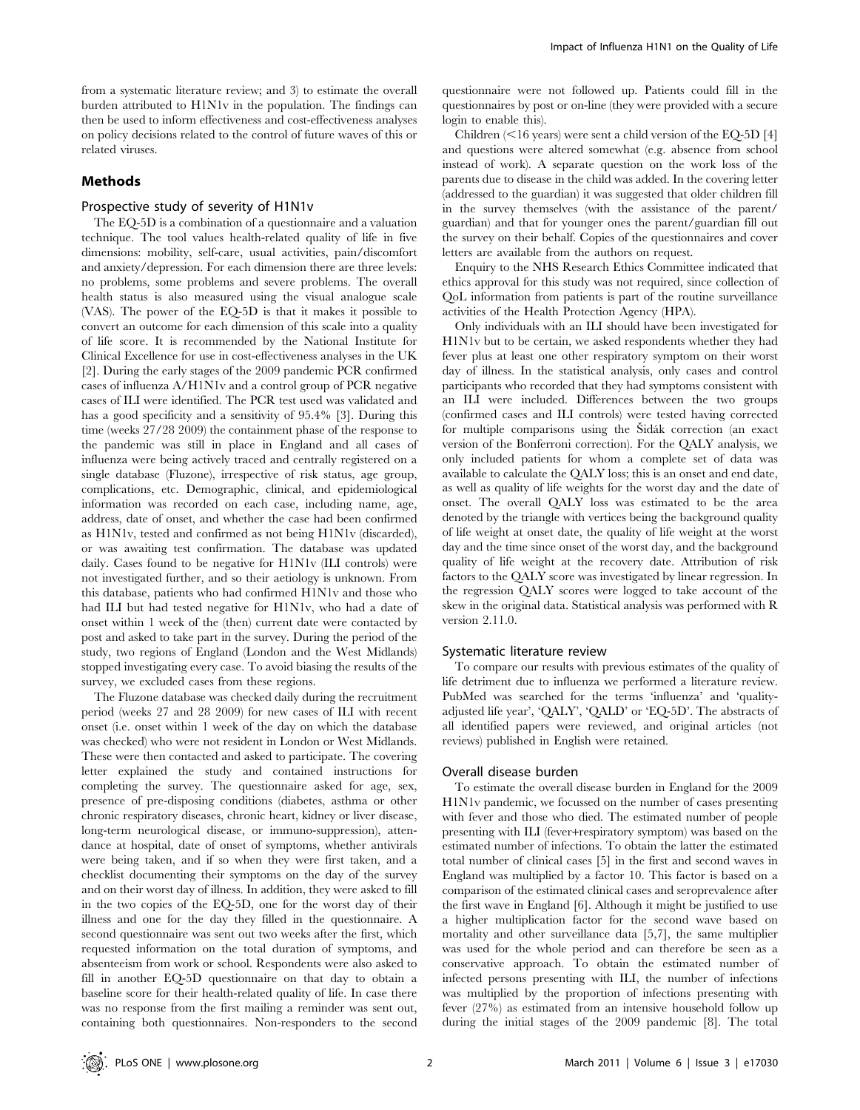from a systematic literature review; and 3) to estimate the overall burden attributed to H1N1v in the population. The findings can then be used to inform effectiveness and cost-effectiveness analyses on policy decisions related to the control of future waves of this or related viruses.

## Methods

### Prospective study of severity of H1N1v

The EQ-5D is a combination of a questionnaire and a valuation technique. The tool values health-related quality of life in five dimensions: mobility, self-care, usual activities, pain/discomfort and anxiety/depression. For each dimension there are three levels: no problems, some problems and severe problems. The overall health status is also measured using the visual analogue scale (VAS). The power of the EQ-5D is that it makes it possible to convert an outcome for each dimension of this scale into a quality of life score. It is recommended by the National Institute for Clinical Excellence for use in cost-effectiveness analyses in the UK [2]. During the early stages of the 2009 pandemic PCR confirmed cases of influenza A/H1N1v and a control group of PCR negative cases of ILI were identified. The PCR test used was validated and has a good specificity and a sensitivity of 95.4% [3]. During this time (weeks 27/28 2009) the containment phase of the response to the pandemic was still in place in England and all cases of influenza were being actively traced and centrally registered on a single database (Fluzone), irrespective of risk status, age group, complications, etc. Demographic, clinical, and epidemiological information was recorded on each case, including name, age, address, date of onset, and whether the case had been confirmed as H1N1v, tested and confirmed as not being H1N1v (discarded), or was awaiting test confirmation. The database was updated daily. Cases found to be negative for H1N1v (ILI controls) were not investigated further, and so their aetiology is unknown. From this database, patients who had confirmed H1N1v and those who had ILI but had tested negative for H1N1v, who had a date of onset within 1 week of the (then) current date were contacted by post and asked to take part in the survey. During the period of the study, two regions of England (London and the West Midlands) stopped investigating every case. To avoid biasing the results of the survey, we excluded cases from these regions.

The Fluzone database was checked daily during the recruitment period (weeks 27 and 28 2009) for new cases of ILI with recent onset (i.e. onset within 1 week of the day on which the database was checked) who were not resident in London or West Midlands. These were then contacted and asked to participate. The covering letter explained the study and contained instructions for completing the survey. The questionnaire asked for age, sex, presence of pre-disposing conditions (diabetes, asthma or other chronic respiratory diseases, chronic heart, kidney or liver disease, long-term neurological disease, or immuno-suppression), attendance at hospital, date of onset of symptoms, whether antivirals were being taken, and if so when they were first taken, and a checklist documenting their symptoms on the day of the survey and on their worst day of illness. In addition, they were asked to fill in the two copies of the EQ-5D, one for the worst day of their illness and one for the day they filled in the questionnaire. A second questionnaire was sent out two weeks after the first, which requested information on the total duration of symptoms, and absenteeism from work or school. Respondents were also asked to fill in another EQ-5D questionnaire on that day to obtain a baseline score for their health-related quality of life. In case there was no response from the first mailing a reminder was sent out, containing both questionnaires. Non-responders to the second questionnaire were not followed up. Patients could fill in the questionnaires by post or on-line (they were provided with a secure login to enable this).

Children  $\leq 16$  years) were sent a child version of the EQ-5D [4] and questions were altered somewhat (e.g. absence from school instead of work). A separate question on the work loss of the parents due to disease in the child was added. In the covering letter (addressed to the guardian) it was suggested that older children fill in the survey themselves (with the assistance of the parent/ guardian) and that for younger ones the parent/guardian fill out the survey on their behalf. Copies of the questionnaires and cover letters are available from the authors on request.

Enquiry to the NHS Research Ethics Committee indicated that ethics approval for this study was not required, since collection of QoL information from patients is part of the routine surveillance activities of the Health Protection Agency (HPA).

Only individuals with an ILI should have been investigated for H1N1v but to be certain, we asked respondents whether they had fever plus at least one other respiratory symptom on their worst day of illness. In the statistical analysis, only cases and control participants who recorded that they had symptoms consistent with an ILI were included. Differences between the two groups (confirmed cases and ILI controls) were tested having corrected for multiple comparisons using the Šidák correction (an exact version of the Bonferroni correction). For the QALY analysis, we only included patients for whom a complete set of data was available to calculate the QALY loss; this is an onset and end date, as well as quality of life weights for the worst day and the date of onset. The overall QALY loss was estimated to be the area denoted by the triangle with vertices being the background quality of life weight at onset date, the quality of life weight at the worst day and the time since onset of the worst day, and the background quality of life weight at the recovery date. Attribution of risk factors to the QALY score was investigated by linear regression. In the regression QALY scores were logged to take account of the skew in the original data. Statistical analysis was performed with R version 2.11.0.

#### Systematic literature review

To compare our results with previous estimates of the quality of life detriment due to influenza we performed a literature review. PubMed was searched for the terms 'influenza' and 'qualityadjusted life year', 'QALY', 'QALD' or 'EQ-5D'. The abstracts of all identified papers were reviewed, and original articles (not reviews) published in English were retained.

#### Overall disease burden

To estimate the overall disease burden in England for the 2009 H1N1v pandemic, we focussed on the number of cases presenting with fever and those who died. The estimated number of people presenting with ILI (fever+respiratory symptom) was based on the estimated number of infections. To obtain the latter the estimated total number of clinical cases [5] in the first and second waves in England was multiplied by a factor 10. This factor is based on a comparison of the estimated clinical cases and seroprevalence after the first wave in England [6]. Although it might be justified to use a higher multiplication factor for the second wave based on mortality and other surveillance data [5,7], the same multiplier was used for the whole period and can therefore be seen as a conservative approach. To obtain the estimated number of infected persons presenting with ILI, the number of infections was multiplied by the proportion of infections presenting with fever (27%) as estimated from an intensive household follow up during the initial stages of the 2009 pandemic [8]. The total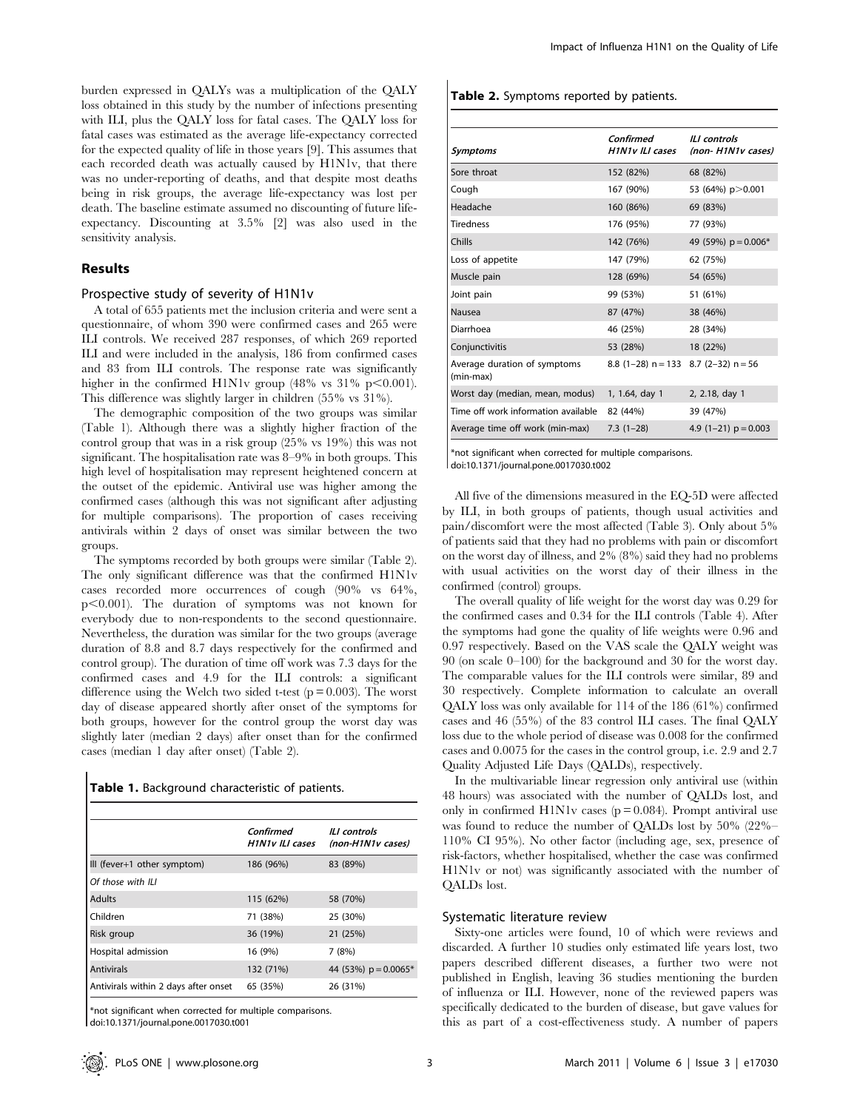burden expressed in QALYs was a multiplication of the QALY loss obtained in this study by the number of infections presenting with ILI, plus the QALY loss for fatal cases. The QALY loss for fatal cases was estimated as the average life-expectancy corrected for the expected quality of life in those years [9]. This assumes that each recorded death was actually caused by H1N1v, that there was no under-reporting of deaths, and that despite most deaths being in risk groups, the average life-expectancy was lost per death. The baseline estimate assumed no discounting of future lifeexpectancy. Discounting at 3.5% [2] was also used in the sensitivity analysis.

#### Results

 $\overline{\phantom{a}}$ 

#### Prospective study of severity of H1N1v

A total of 655 patients met the inclusion criteria and were sent a questionnaire, of whom 390 were confirmed cases and 265 were ILI controls. We received 287 responses, of which 269 reported ILI and were included in the analysis, 186 from confirmed cases and 83 from ILI controls. The response rate was significantly higher in the confirmed H1N1v group  $(48\% \text{ vs } 31\% \text{ p} < 0.001)$ . This difference was slightly larger in children (55% vs 31%).

The demographic composition of the two groups was similar (Table 1). Although there was a slightly higher fraction of the control group that was in a risk group (25% vs 19%) this was not significant. The hospitalisation rate was 8–9% in both groups. This high level of hospitalisation may represent heightened concern at the outset of the epidemic. Antiviral use was higher among the confirmed cases (although this was not significant after adjusting for multiple comparisons). The proportion of cases receiving antivirals within 2 days of onset was similar between the two groups.

The symptoms recorded by both groups were similar (Table 2). The only significant difference was that the confirmed H1N1v cases recorded more occurrences of cough (90% vs 64%, p<0.001). The duration of symptoms was not known for everybody due to non-respondents to the second questionnaire. Nevertheless, the duration was similar for the two groups (average duration of 8.8 and 8.7 days respectively for the confirmed and control group). The duration of time off work was 7.3 days for the confirmed cases and 4.9 for the ILI controls: a significant difference using the Welch two sided t-test  $(p = 0.003)$ . The worst day of disease appeared shortly after onset of the symptoms for both groups, however for the control group the worst day was slightly later (median 2 days) after onset than for the confirmed cases (median 1 day after onset) (Table 2).

|  | Table 1. Background characteristic of patients. |  |  |  |
|--|-------------------------------------------------|--|--|--|
|--|-------------------------------------------------|--|--|--|

|                                      | Confirmed<br>H <sub>1</sub> N <sub>1v</sub> ILI cases | <b>ILI</b> controls<br>(non-H1N1v cases) |
|--------------------------------------|-------------------------------------------------------|------------------------------------------|
| III (fever+1 other symptom)          | 186 (96%)                                             | 83 (89%)                                 |
| Of those with ILI                    |                                                       |                                          |
| <b>Adults</b>                        | 115 (62%)                                             | 58 (70%)                                 |
| Children                             | 71 (38%)                                              | 25 (30%)                                 |
| Risk group                           | 36 (19%)                                              | 21 (25%)                                 |
| Hospital admission                   | 16 (9%)                                               | 7(8%)                                    |
| <b>Antivirals</b>                    | 132 (71%)                                             | 44 (53%) $p = 0.0065*$                   |
| Antivirals within 2 days after onset | 65 (35%)                                              | 26 (31%)                                 |

\*not significant when corrected for multiple comparisons. doi:10.1371/journal.pone.0017030.t001

#### Table 2. Symptoms reported by patients.

| Symptoms                                  | Confirmed<br>H1N1v ILI cases             | II I controls<br>(non-H1N1v cases) |
|-------------------------------------------|------------------------------------------|------------------------------------|
| Sore throat                               | 152 (82%)                                | 68 (82%)                           |
| Cough                                     | 167 (90%)                                | 53 (64%) p>0.001                   |
| Headache                                  | 160 (86%)                                | 69 (83%)                           |
| Tiredness                                 | 176 (95%)                                | 77 (93%)                           |
| Chills                                    | 142 (76%)                                | 49 (59%) $p = 0.006*$              |
| Loss of appetite                          | 147 (79%)                                | 62 (75%)                           |
| Muscle pain                               | 128 (69%)                                | 54 (65%)                           |
| Joint pain                                | 99 (53%)                                 | 51 (61%)                           |
| Nausea                                    | 87 (47%)                                 | 38 (46%)                           |
| Diarrhoea                                 | 46 (25%)                                 | 28 (34%)                           |
| Conjunctivitis                            | 53 (28%)                                 | 18 (22%)                           |
| Average duration of symptoms<br>(min-max) | 8.8 $(1-28)$ n = 133 8.7 $(2-32)$ n = 56 |                                    |
| Worst day (median, mean, modus)           | 1, 1.64, day 1                           | 2, 2.18, day 1                     |
| Time off work information available       | 82 (44%)                                 | 39 (47%)                           |
| Average time off work (min-max)           | $7.3(1-28)$                              | 4.9 $(1-21)$ p = 0.003             |

\*not significant when corrected for multiple comparisons. doi:10.1371/journal.pone.0017030.t002

All five of the dimensions measured in the EQ-5D were affected by ILI, in both groups of patients, though usual activities and pain/discomfort were the most affected (Table 3). Only about 5% of patients said that they had no problems with pain or discomfort on the worst day of illness, and 2% (8%) said they had no problems with usual activities on the worst day of their illness in the confirmed (control) groups.

The overall quality of life weight for the worst day was 0.29 for the confirmed cases and 0.34 for the ILI controls (Table 4). After the symptoms had gone the quality of life weights were 0.96 and 0.97 respectively. Based on the VAS scale the QALY weight was 90 (on scale 0–100) for the background and 30 for the worst day. The comparable values for the ILI controls were similar, 89 and 30 respectively. Complete information to calculate an overall QALY loss was only available for 114 of the 186 (61%) confirmed cases and 46 (55%) of the 83 control ILI cases. The final QALY loss due to the whole period of disease was 0.008 for the confirmed cases and 0.0075 for the cases in the control group, i.e. 2.9 and 2.7 Quality Adjusted Life Days (QALDs), respectively.

In the multivariable linear regression only antiviral use (within 48 hours) was associated with the number of QALDs lost, and only in confirmed H1N1v cases ( $p = 0.084$ ). Prompt antiviral use was found to reduce the number of QALDs lost by 50% (22%– 110% CI 95%). No other factor (including age, sex, presence of risk-factors, whether hospitalised, whether the case was confirmed H1N1v or not) was significantly associated with the number of QALDs lost.

#### Systematic literature review

Sixty-one articles were found, 10 of which were reviews and discarded. A further 10 studies only estimated life years lost, two papers described different diseases, a further two were not published in English, leaving 36 studies mentioning the burden of influenza or ILI. However, none of the reviewed papers was specifically dedicated to the burden of disease, but gave values for this as part of a cost-effectiveness study. A number of papers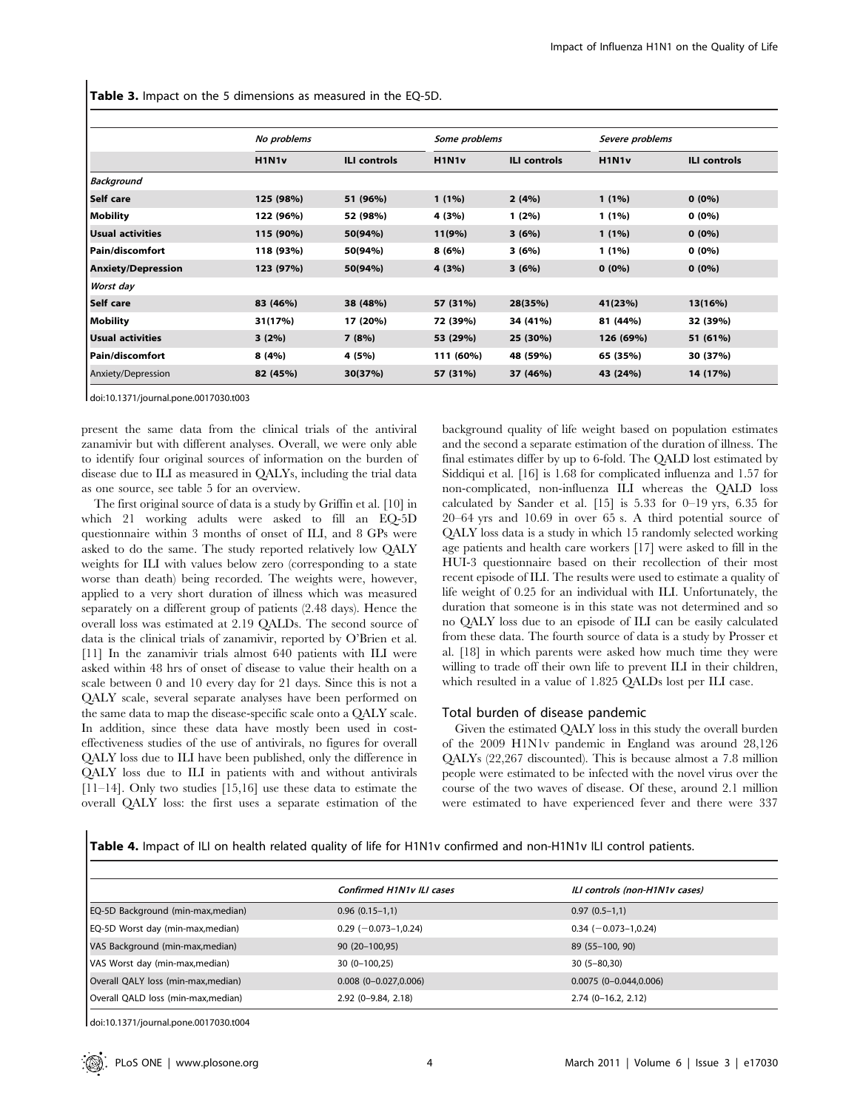Table 3. Impact on the 5 dimensions as measured in the EQ-5D.

|                           | No problems                    |                     | Some problems                   |                     | Severe problems                 |                     |
|---------------------------|--------------------------------|---------------------|---------------------------------|---------------------|---------------------------------|---------------------|
|                           | H <sub>1</sub> N <sub>1v</sub> | <b>ILI controls</b> | H <sub>1</sub> N <sub>1</sub> v | <b>ILI controls</b> | H <sub>1</sub> N <sub>1</sub> v | <b>ILI controls</b> |
| <b>Background</b>         |                                |                     |                                 |                     |                                 |                     |
| Self care                 | 125 (98%)                      | 51 (96%)            | $1(1\%)$                        | 2(4%)               | $1(1\%)$                        | $0(0\%)$            |
| Mobility                  | 122 (96%)                      | 52 (98%)            | 4 (3%)                          | $1(2\%)$            | 1 (1%)                          | $0(0\%)$            |
| <b>Usual activities</b>   | 115 (90%)                      | 50(94%)             | 11(9%)                          | 3(6%)               | $1(1\%)$                        | $0(0\%)$            |
| Pain/discomfort           | 118 (93%)                      | 50(94%)             | 8(6%)                           | 3 (6%)              | 1 (1%)                          | $0(0\%)$            |
| <b>Anxiety/Depression</b> | 123 (97%)                      | 50(94%)             | 4 (3%)                          | 3(6%)               | $0(0\%)$                        | $0(0\%)$            |
| Worst day                 |                                |                     |                                 |                     |                                 |                     |
| Self care                 | 83 (46%)                       | 38 (48%)            | 57 (31%)                        | 28(35%)             | 41(23%)                         | 13(16%)             |
| Mobility                  | 31(17%)                        | 17 (20%)            | 72 (39%)                        | 34 (41%)            | 81 (44%)                        | 32 (39%)            |
| Usual activities          | 3(2%)                          | 7(8%)               | 53 (29%)                        | 25 (30%)            | 126 (69%)                       | 51 (61%)            |
| Pain/discomfort           | 8(4%)                          | 4 (5%)              | 111 (60%)                       | 48 (59%)            | 65 (35%)                        | 30 (37%)            |
| Anxiety/Depression        | 82 (45%)                       | 30(37%)             | 57 (31%)                        | 37 (46%)            | 43 (24%)                        | 14 (17%)            |

doi:10.1371/journal.pone.0017030.t003

present the same data from the clinical trials of the antiviral zanamivir but with different analyses. Overall, we were only able to identify four original sources of information on the burden of disease due to ILI as measured in QALYs, including the trial data as one source, see table 5 for an overview.

The first original source of data is a study by Griffin et al. [10] in which 21 working adults were asked to fill an EQ-5D questionnaire within 3 months of onset of ILI, and 8 GPs were asked to do the same. The study reported relatively low QALY weights for ILI with values below zero (corresponding to a state worse than death) being recorded. The weights were, however, applied to a very short duration of illness which was measured separately on a different group of patients (2.48 days). Hence the overall loss was estimated at 2.19 QALDs. The second source of data is the clinical trials of zanamivir, reported by O'Brien et al. [11] In the zanamivir trials almost 640 patients with ILI were asked within 48 hrs of onset of disease to value their health on a scale between 0 and 10 every day for 21 days. Since this is not a QALY scale, several separate analyses have been performed on the same data to map the disease-specific scale onto a QALY scale. In addition, since these data have mostly been used in costeffectiveness studies of the use of antivirals, no figures for overall QALY loss due to ILI have been published, only the difference in QALY loss due to ILI in patients with and without antivirals [11–14]. Only two studies [15,16] use these data to estimate the overall QALY loss: the first uses a separate estimation of the

background quality of life weight based on population estimates and the second a separate estimation of the duration of illness. The final estimates differ by up to 6-fold. The QALD lost estimated by Siddiqui et al. [16] is 1.68 for complicated influenza and 1.57 for non-complicated, non-influenza ILI whereas the QALD loss calculated by Sander et al. [15] is 5.33 for 0–19 yrs, 6.35 for 20–64 yrs and 10.69 in over 65 s. A third potential source of QALY loss data is a study in which 15 randomly selected working age patients and health care workers [17] were asked to fill in the HUI-3 questionnaire based on their recollection of their most recent episode of ILI. The results were used to estimate a quality of life weight of 0.25 for an individual with ILI. Unfortunately, the duration that someone is in this state was not determined and so no QALY loss due to an episode of ILI can be easily calculated from these data. The fourth source of data is a study by Prosser et al. [18] in which parents were asked how much time they were willing to trade off their own life to prevent ILI in their children, which resulted in a value of 1.825 QALDs lost per ILI case.

#### Total burden of disease pandemic

Given the estimated QALY loss in this study the overall burden of the 2009 H1N1v pandemic in England was around 28,126 QALYs (22,267 discounted). This is because almost a 7.8 million people were estimated to be infected with the novel virus over the course of the two waves of disease. Of these, around 2.1 million were estimated to have experienced fever and there were 337

Table 4. Impact of ILI on health related quality of life for H1N1v confirmed and non-H1N1v ILI control patients.

|                                     | <b>Confirmed H1N1v ILI cases</b> | ILI controls (non-H1N1v cases) |
|-------------------------------------|----------------------------------|--------------------------------|
| EQ-5D Background (min-max, median)  | $0.96(0.15-1,1)$                 | $0.97(0.5-1,1)$                |
| EQ-5D Worst day (min-max, median)   | $0.29$ (-0.073-1,0.24)           | $0.34 (-0.073 - 1.0.24)$       |
| VAS Background (min-max, median)    | 90 (20-100,95)                   | 89 (55-100, 90)                |
| VAS Worst day (min-max, median)     | $30(0-100,25)$                   | $30(5 - 80, 30)$               |
| Overall QALY loss (min-max, median) | $0.008$ (0-0.027,0.006)          | $0.0075(0-0.044, 0.006)$       |
| Overall QALD loss (min-max, median) | $2.92$ (0-9.84, 2.18)            | $2.74$ (0-16.2, 2.12)          |

doi:10.1371/journal.pone.0017030.t004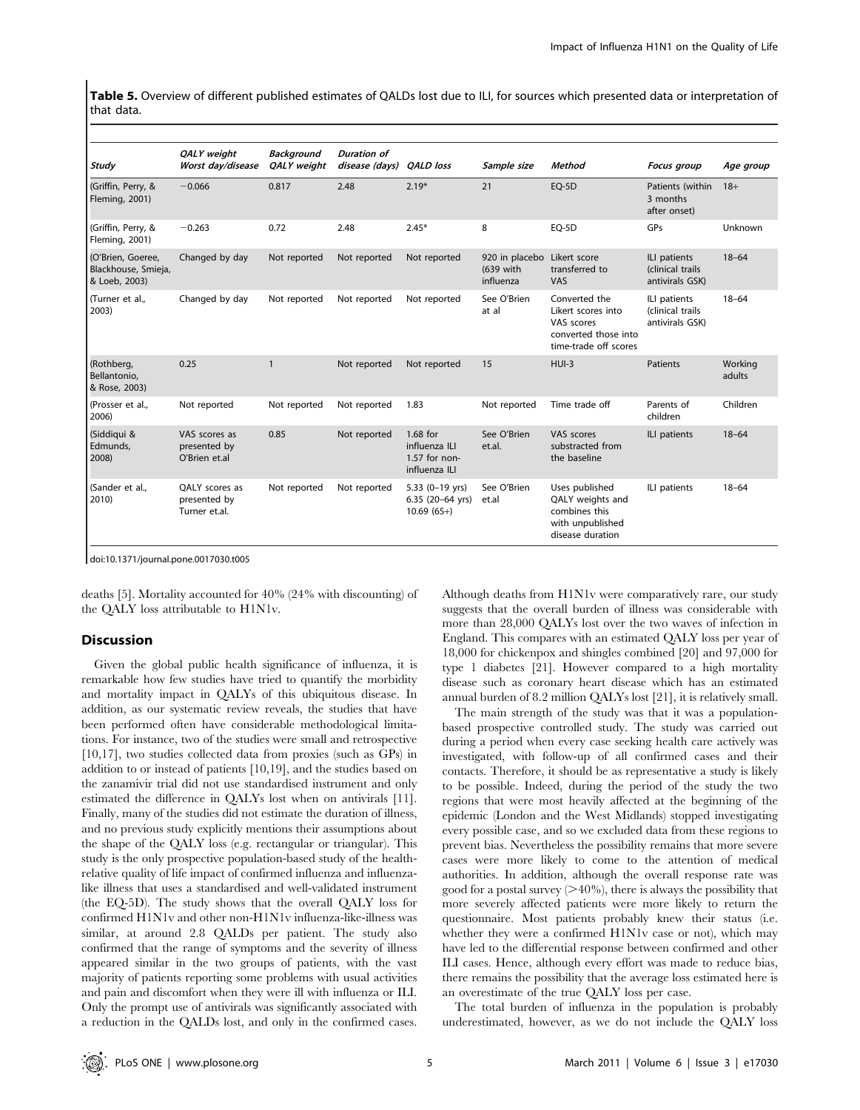Table 5. Overview of different published estimates of QALDs lost due to ILI, for sources which presented data or interpretation of that data.

| Study                                                     | QALY weight<br>Worst day/disease                | <b>Background</b><br>QALY weight | Duration of<br>disease (days) | <b>QALD</b> loss                                              | Sample size                              | <b>Method</b>                                                                                      | <b>Focus</b> group                                  | Age group         |
|-----------------------------------------------------------|-------------------------------------------------|----------------------------------|-------------------------------|---------------------------------------------------------------|------------------------------------------|----------------------------------------------------------------------------------------------------|-----------------------------------------------------|-------------------|
| (Griffin, Perry, &<br>Fleming, 2001)                      | $-0.066$                                        | 0.817                            | 2.48                          | $2.19*$                                                       | 21                                       | EQ-5D                                                                                              | Patients (within<br>3 months<br>after onset)        | $18+$             |
| (Griffin, Perry, &<br>Fleming, 2001)                      | $-0.263$                                        | 0.72                             | 2.48                          | $2.45*$                                                       | 8                                        | $EO-5D$                                                                                            | GPs                                                 | Unknown           |
| (O'Brien, Goeree,<br>Blackhouse, Smieja,<br>& Loeb, 2003) | Changed by day                                  | Not reported                     | Not reported                  | Not reported                                                  | 920 in placebo<br>(639 with<br>influenza | Likert score<br>transferred to<br>VAS                                                              | ILI patients<br>(clinical trails<br>antivirals GSK) | $18 - 64$         |
| (Turner et al.,<br>2003)                                  | Changed by day                                  | Not reported                     | Not reported                  | Not reported                                                  | See O'Brien<br>at al                     | Converted the<br>Likert scores into<br>VAS scores<br>converted those into<br>time-trade off scores | ILI patients<br>(clinical trails<br>antivirals GSK) | $18 - 64$         |
| (Rothberg,<br>Bellantonio,<br>& Rose, 2003)               | 0.25                                            | $\mathbf{1}$                     | Not reported                  | Not reported                                                  | 15                                       | $HUI-3$                                                                                            | Patients                                            | Working<br>adults |
| (Prosser et al.,<br>2006)                                 | Not reported                                    | Not reported                     | Not reported                  | 1.83                                                          | Not reported                             | Time trade off                                                                                     | Parents of<br>children                              | Children          |
| (Siddigui &<br>Edmunds,<br>2008)                          | VAS scores as<br>presented by<br>O'Brien et.al  | 0.85                             | Not reported                  | 1.68 for<br>influenza ILI<br>$1.57$ for non-<br>influenza ILI | See O'Brien<br>et.al.                    | VAS scores<br>substracted from<br>the baseline                                                     | ILI patients                                        | $18 - 64$         |
| (Sander et al.,<br>2010)                                  | OALY scores as<br>presented by<br>Turner et.al. | Not reported                     | Not reported                  | 5.33 (0-19 yrs)<br>6.35 (20-64 yrs)<br>$10.69(65+)$           | See O'Brien<br>et.al                     | Uses published<br>QALY weights and<br>combines this<br>with unpublished<br>disease duration        | ILI patients                                        | $18 - 64$         |

doi:10.1371/journal.pone.0017030.t005

deaths [5]. Mortality accounted for 40% (24% with discounting) of the QALY loss attributable to H1N1v.

#### Discussion

Given the global public health significance of influenza, it is remarkable how few studies have tried to quantify the morbidity and mortality impact in QALYs of this ubiquitous disease. In addition, as our systematic review reveals, the studies that have been performed often have considerable methodological limitations. For instance, two of the studies were small and retrospective [10,17], two studies collected data from proxies (such as GPs) in addition to or instead of patients [10,19], and the studies based on the zanamivir trial did not use standardised instrument and only estimated the difference in QALYs lost when on antivirals [11]. Finally, many of the studies did not estimate the duration of illness, and no previous study explicitly mentions their assumptions about the shape of the QALY loss (e.g. rectangular or triangular). This study is the only prospective population-based study of the healthrelative quality of life impact of confirmed influenza and influenzalike illness that uses a standardised and well-validated instrument (the EQ-5D). The study shows that the overall QALY loss for confirmed H1N1v and other non-H1N1v influenza-like-illness was similar, at around 2.8 QALDs per patient. The study also confirmed that the range of symptoms and the severity of illness appeared similar in the two groups of patients, with the vast majority of patients reporting some problems with usual activities and pain and discomfort when they were ill with influenza or ILI. Only the prompt use of antivirals was significantly associated with a reduction in the QALDs lost, and only in the confirmed cases.

Although deaths from H1N1v were comparatively rare, our study suggests that the overall burden of illness was considerable with more than 28,000 QALYs lost over the two waves of infection in England. This compares with an estimated QALY loss per year of 18,000 for chickenpox and shingles combined [20] and 97,000 for type 1 diabetes [21]. However compared to a high mortality disease such as coronary heart disease which has an estimated annual burden of 8.2 million QALYs lost [21], it is relatively small.

The main strength of the study was that it was a populationbased prospective controlled study. The study was carried out during a period when every case seeking health care actively was investigated, with follow-up of all confirmed cases and their contacts. Therefore, it should be as representative a study is likely to be possible. Indeed, during the period of the study the two regions that were most heavily affected at the beginning of the epidemic (London and the West Midlands) stopped investigating every possible case, and so we excluded data from these regions to prevent bias. Nevertheless the possibility remains that more severe cases were more likely to come to the attention of medical authorities. In addition, although the overall response rate was good for a postal survey  $(>40\%)$ , there is always the possibility that more severely affected patients were more likely to return the questionnaire. Most patients probably knew their status (i.e. whether they were a confirmed H1N1v case or not), which may have led to the differential response between confirmed and other ILI cases. Hence, although every effort was made to reduce bias, there remains the possibility that the average loss estimated here is an overestimate of the true QALY loss per case.

The total burden of influenza in the population is probably underestimated, however, as we do not include the QALY loss